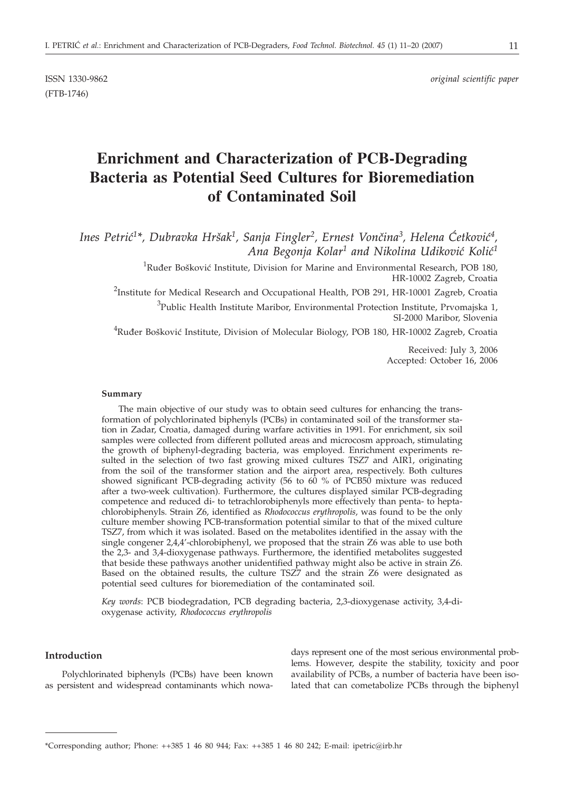(FTB-1746)

ISSN 1330-9862 *original scientific paper*

# **Enrichment and Characterization of PCB-Degrading Bacteria as Potential Seed Cultures for Bioremediation of Contaminated Soil**

Ines Petrić<sup>1\*</sup>, Dubravka Hršak<sup>1</sup>, Sanja Fingler<sup>2</sup>, Ernest Vončina<sup>3</sup>, Helena Ćetković<sup>4</sup>, Ana Begonja Kolar<sup>1</sup> and Nikolina Udiković Kolić<sup>1</sup>

> $^{1}$ Ruđer Bošković Institute, Division for Marine and Environmental Research, POB 180, HR-10002 Zagreb, Croatia

<sup>2</sup>Institute for Medical Research and Occupational Health, POB 291, HR-10001 Zagreb, Croatia  $^3$ Public Health Institute Maribor, Environmental Protection Institute, Prvomajska 1,

SI-2000 Maribor, Slovenia

<sup>4</sup>Ruđer Bošković Institute, Division of Molecular Biology, POB 180, HR-10002 Zagreb, Croatia

Received: July 3, 2006 Accepted: October 16, 2006

#### **Summary**

The main objective of our study was to obtain seed cultures for enhancing the transformation of polychlorinated biphenyls (PCBs) in contaminated soil of the transformer station in Zadar, Croatia, damaged during warfare activities in 1991. For enrichment, six soil samples were collected from different polluted areas and microcosm approach, stimulating the growth of biphenyl-degrading bacteria, was employed. Enrichment experiments resulted in the selection of two fast growing mixed cultures TSZ7 and AIR1, originating from the soil of the transformer station and the airport area, respectively. Both cultures showed significant PCB-degrading activity (56 to 60 % of PCB50 mixture was reduced after a two-week cultivation). Furthermore, the cultures displayed similar PCB-degrading competence and reduced di- to tetrachlorobiphenyls more effectively than penta- to heptachlorobiphenyls. Strain Z6, identified as *Rhodococcus erythropolis,* was found to be the only culture member showing PCB-transformation potential similar to that of the mixed culture TSZ7, from which it was isolated. Based on the metabolites identified in the assay with the single congener 2,4,4'-chlorobiphenyl, we proposed that the strain Z6 was able to use both the 2,3- and 3,4-dioxygenase pathways. Furthermore, the identified metabolites suggested that beside these pathways another unidentified pathway might also be active in strain Z6. Based on the obtained results, the culture TSZ7 and the strain Z6 were designated as potential seed cultures for bioremediation of the contaminated soil.

*Key words*: PCB biodegradation, PCB degrading bacteria, 2,3-dioxygenase activity, 3,4-dioxygenase activity, *Rhodococcus erythropolis*

## **Introduction**

Polychlorinated biphenyls (PCBs) have been known as persistent and widespread contaminants which nowa-

days represent one of the most serious environmental problems. However, despite the stability, toxicity and poor availability of PCBs, a number of bacteria have been isolated that can cometabolize PCBs through the biphenyl

<sup>\*</sup>Corresponding author; Phone: ++385 1 46 80 944; Fax: ++385 1 46 80 242; E-mail: ipetric*@*irb.hr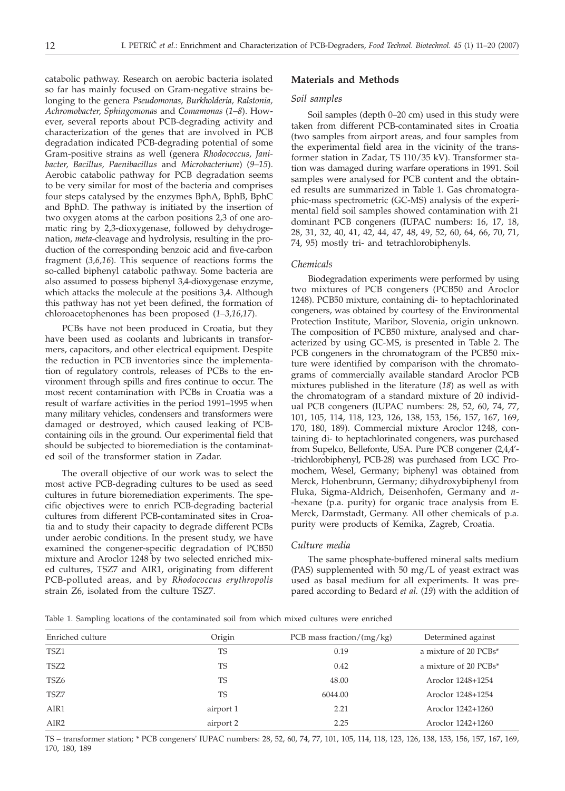catabolic pathway. Research on aerobic bacteria isolated so far has mainly focused on Gram-negative strains belonging to the genera *Pseudomonas, Burkholderia, Ralstonia, Achromobacter, Sphingomonas* and *Comamonas* (*1–8*). However, several reports about PCB-degrading activity and characterization of the genes that are involved in PCB degradation indicated PCB-degrading potential of some Gram-positive strains as well (genera *Rhodococcus, Janibacter, Bacillus, Paenibacillus* and *Microbacterium*) (*9–15*). Aerobic catabolic pathway for PCB degradation seems to be very similar for most of the bacteria and comprises four steps catalysed by the enzymes BphA, BphB, BphC and BphD. The pathway is initiated by the insertion of two oxygen atoms at the carbon positions 2,3 of one aromatic ring by 2,3-dioxygenase, followed by dehydrogenation, *meta*-cleavage and hydrolysis, resulting in the production of the corresponding benzoic acid and five-carbon fragment (*3,6,16*). This sequence of reactions forms the so-called biphenyl catabolic pathway. Some bacteria are also assumed to possess biphenyl 3,4-dioxygenase enzyme, which attacks the molecule at the positions 3,4. Although this pathway has not yet been defined, the formation of chloroacetophenones has been proposed (*1–3,16,17*).

PCBs have not been produced in Croatia, but they have been used as coolants and lubricants in transformers, capacitors, and other electrical equipment. Despite the reduction in PCB inventories since the implementation of regulatory controls, releases of PCBs to the environment through spills and fires continue to occur. The most recent contamination with PCBs in Croatia was a result of warfare activities in the period 1991–1995 when many military vehicles, condensers and transformers were damaged or destroyed, which caused leaking of PCBcontaining oils in the ground. Our experimental field that should be subjected to bioremediation is the contaminated soil of the transformer station in Zadar.

The overall objective of our work was to select the most active PCB-degrading cultures to be used as seed cultures in future bioremediation experiments. The specific objectives were to enrich PCB-degrading bacterial cultures from different PCB-contaminated sites in Croatia and to study their capacity to degrade different PCBs under aerobic conditions. In the present study, we have examined the congener-specific degradation of PCB50 mixture and Aroclor 1248 by two selected enriched mixed cultures, TSZ7 and AIR1, originating from different PCB-polluted areas, and by *Rhodococcus erythropolis* strain Z6, isolated from the culture TSZ7.

## **Materials and Methods**

#### *Soil samples*

Soil samples (depth 0–20 cm) used in this study were taken from different PCB-contaminated sites in Croatia (two samples from airport areas, and four samples from the experimental field area in the vicinity of the transformer station in Zadar, TS 110/35 kV). Transformer station was damaged during warfare operations in 1991. Soil samples were analysed for PCB content and the obtained results are summarized in Table 1. Gas chromatographic-mass spectrometric (GC-MS) analysis of the experimental field soil samples showed contamination with 21 dominant PCB congeners (IUPAC numbers: 16, 17, 18, 28, 31, 32, 40, 41, 42, 44, 47, 48, 49, 52, 60, 64, 66, 70, 71, 74, 95) mostly tri- and tetrachlorobiphenyls.

# *Chemicals*

Biodegradation experiments were performed by using two mixtures of PCB congeners (PCB50 and Aroclor 1248). PCB50 mixture, containing di- to heptachlorinated congeners, was obtained by courtesy of the Environmental Protection Institute, Maribor, Slovenia, origin unknown. The composition of PCB50 mixture, analysed and characterized by using GC-MS, is presented in Table 2. The PCB congeners in the chromatogram of the PCB50 mixture were identified by comparison with the chromatograms of commercially available standard Aroclor PCB mixtures published in the literature (*18*) as well as with the chromatogram of a standard mixture of 20 individual PCB congeners (IUPAC numbers: 28, 52, 60, 74, 77, 101, 105, 114, 118, 123, 126, 138, 153, 156, 157, 167, 169, 170, 180, 189). Commercial mixture Aroclor 1248, containing di- to heptachlorinated congeners, was purchased from Supelco, Bellefonte, USA. Pure PCB congener (2,4,4'- -trichlorobiphenyl, PCB-28) was purchased from LGC Promochem, Wesel, Germany; biphenyl was obtained from Merck, Hohenbrunn, Germany; dihydroxybiphenyl from Fluka, Sigma-Aldrich, Deisenhofen, Germany and *n*- -hexane (p.a. purity) for organic trace analysis from E. Merck, Darmstadt, Germany. All other chemicals of p.a. purity were products of Kemika, Zagreb, Croatia.

#### *Culture media*

The same phosphate-buffered mineral salts medium (PAS) supplemented with 50 mg/L of yeast extract was used as basal medium for all experiments. It was prepared according to Bedard *et al.* (*19*) with the addition of

Table 1. Sampling locations of the contaminated soil from which mixed cultures were enriched

| Enriched culture | Origin    | PCB mass fraction/ $(mg/kg)$ | Determined against    |
|------------------|-----------|------------------------------|-----------------------|
| TSZ1             | TS        | 0.19                         | a mixture of 20 PCBs* |
| TSZ2             | <b>TS</b> | 0.42                         | a mixture of 20 PCBs* |
| TSZ6             | TS        | 48.00                        | Aroclor 1248+1254     |
| TSZ7             | <b>TS</b> | 6044.00                      | Aroclor 1248+1254     |
| AIR1             | airport 1 | 2.21                         | Aroclor 1242+1260     |
| AIR <sub>2</sub> | airport 2 | 2.25                         | Aroclor 1242+1260     |
|                  |           |                              |                       |

TS – transformer station; \* PCB congeners' IUPAC numbers: 28, 52, 60, 74, 77, 101, 105, 114, 118, 123, 126, 138, 153, 156, 157, 167, 169, 170, 180, 189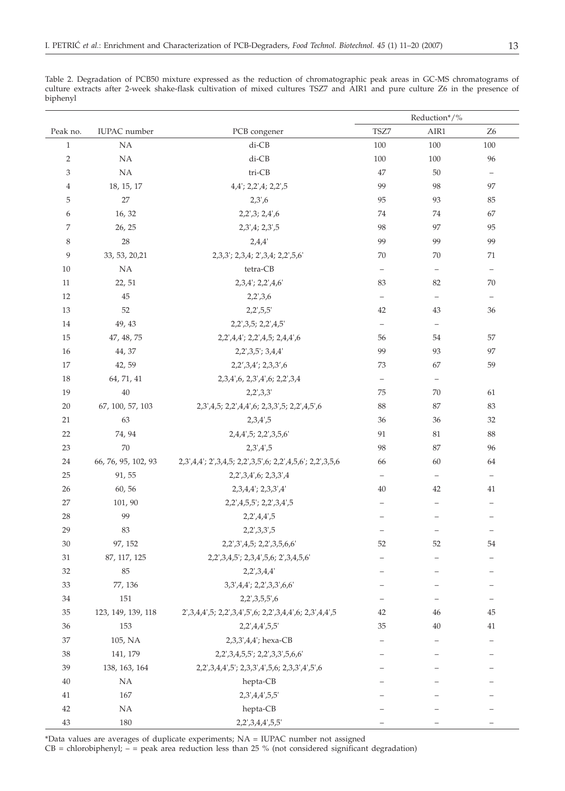Table 2. Degradation of PCB50 mixture expressed as the reduction of chromatographic peak areas in GC-MS chromatograms of culture extracts after 2-week shake-flask cultivation of mixed cultures TSZ7 and AIR1 and pure culture Z6 in the presence of biphenyl

|                |                     |                                                                            |                          | Reduction*/%             |                          |
|----------------|---------------------|----------------------------------------------------------------------------|--------------------------|--------------------------|--------------------------|
| Peak no.       | IUPAC number        | PCB congener                                                               | TSZ7                     | AIR1                     | Z <sub>6</sub>           |
| $\mathbf{1}$   | NA                  | di-CB                                                                      | 100                      | 100                      | 100                      |
| $\overline{2}$ | NA                  | di-CB                                                                      | 100                      | 100                      | 96                       |
| 3              | NA                  | tri-CB                                                                     | 47                       | 50                       | $\overline{\phantom{a}}$ |
| $\overline{4}$ | 18, 15, 17          | 4,4'; 2,2',4; 2,2',5                                                       | 99                       | 98                       | 97                       |
| 5              | $27\,$              | 2,3',6                                                                     | 95                       | 93                       | 85                       |
| 6              | 16, 32              | 2,2',3; 2,4',6                                                             | 74                       | 74                       | 67                       |
| 7              | 26, 25              | 2,3',4; 2,3',5                                                             | 98                       | 97                       | 95                       |
| 8              | 28                  | 2,4,4'                                                                     | 99                       | 99                       | 99                       |
| 9              | 33, 53, 20, 21      | 2,3,3'; 2,3,4; 2',3,4; 2,2',5,6'                                           | 70                       | 70                       | 71                       |
| 10             | <b>NA</b>           | tetra-CB                                                                   | $\overline{\phantom{0}}$ | $\overline{\phantom{m}}$ | $\qquad \qquad -$        |
| 11             | 22, 51              | 2,3,4'; 2,2',4,6'                                                          | 83                       | 82                       | 70                       |
| 12             | 45                  | $2,2^{\prime},3,6$                                                         | $\qquad \qquad -$        | $\overline{\phantom{a}}$ | $\qquad \qquad -$        |
| 13             | 52                  | $2,2^{\prime},5,5^{\prime}$                                                | 42                       | 43                       | 36                       |
| 14             | 49, 43              | 2,2', 3, 5; 2, 2', 4, 5'                                                   | $\qquad \qquad -$        | $\overline{\phantom{m}}$ |                          |
| 15             | 47, 48, 75          | 2,2',4,4'; 2,2',4,5; 2,4,4',6                                              | 56                       | 54                       | 57                       |
| 16             | 44, 37              | 2,2',3,5'; 3,4,4'                                                          | 99                       | 93                       | 97                       |
| 17             | 42, 59              | 2,2',3,4'; 2,3,3',6                                                        | 73                       | 67                       | 59                       |
| 18             | 64, 71, 41          | 2,3,4',6, 2,3',4',6; 2,2',3,4                                              | $\equiv$                 | $\overline{\phantom{m}}$ |                          |
| 19             | 40                  | 2,2',3,3'                                                                  | 75                       | 70                       | 61                       |
| 20             | 67, 100, 57, 103    | 2,3',4,5; 2,2',4,4',6; 2,3,3',5; 2,2',4,5',6                               | 88                       | 87                       | 83                       |
| 21             | 63                  | 2,3,4',5                                                                   | 36                       | 36                       | 32                       |
| 22             | 74, 94              | 2,4,4',5; 2,2',3,5,6'                                                      | 91                       | 81                       | $88\,$                   |
| 23             | 70                  | 2,3',4',5                                                                  | 98                       | 87                       | 96                       |
| 24             | 66, 76, 95, 102, 93 | 2,3',4,4'; 2',3,4,5; 2,2',3,5',6; 2,2',4,5,6'; 2,2',3,5,6                  | 66                       | 60                       | 64                       |
| 25             | 91, 55              | 2,2',3,4',6; 2,3,3',4                                                      | $\overline{\phantom{0}}$ | $\overline{\phantom{a}}$ | $\overline{\phantom{a}}$ |
| 26             | 60, 56              | 2,3,4,4'; 2,3,3',4'                                                        | 40                       | 42                       | 41                       |
| 27             | 101, 90             | 2,2',4,5,5'; 2,2',3,4',5                                                   |                          |                          |                          |
| 28             | 99                  | 2,2',4,4',5                                                                | $\qquad \qquad -$        | $\overline{\phantom{0}}$ |                          |
| 29             | 83                  | 2,2',3,3',5                                                                | $\qquad \qquad -$        |                          |                          |
| 30             | 97, 152             | 2,2',3',4,5; 2,2',3,5,6,6'                                                 | 52                       | 52                       | 54                       |
| 31             | 87, 117, 125        | 2,2',3,4,5'; 2,3,4',5,6; 2',3,4,5,6'                                       | $\qquad \qquad -$        | $\qquad \qquad -$        | $\overline{\phantom{0}}$ |
| 32             | 85                  | 2,2',3,4,4'                                                                |                          |                          |                          |
| 33             | 77, 136             | 3, 3', 4, 4'; 2, 2', 3, 3', 6, 6'                                          |                          |                          |                          |
| 34             | 151                 | 2,2',3,5,5',6                                                              |                          |                          |                          |
| 35             | 123, 149, 139, 118  | 2', 3, 4, 4', 5; 2, 2', 3, 4', 5', 6; 2, 2', 3, 4, 4', 6; 2, 3', 4, 4', 5' | 42                       | 46                       | 45                       |
| 36             | 153                 | 2,2',4,4',5,5'                                                             | 35                       | 40                       | 41                       |
| 37             | 105, NA             | 2,3,3',4,4'; hexa-CB                                                       |                          |                          |                          |
| 38             | 141, 179            | 2,2',3,4,5,5'; 2,2',3,3',5,6,6'                                            |                          |                          |                          |
| 39             | 138, 163, 164       | 2,2',3,4,4',5'; 2,3,3',4',5,6; 2,3,3',4',5',6                              |                          |                          |                          |
| 40             | <b>NA</b>           | hepta-CB                                                                   |                          |                          |                          |
| 41             | 167                 | 2,3',4,4',5,5'                                                             |                          |                          |                          |
| 42             | NA                  | hepta-CB                                                                   |                          |                          |                          |
| 43             | 180                 | 2,2',3,4,4',5,5'                                                           |                          |                          |                          |

\*Data values are averages of duplicate experiments; NA = IUPAC number not assigned

 $CB = chlorobiphenyl$ ;  $-$  = peak area reduction less than 25 % (not considered significant degradation)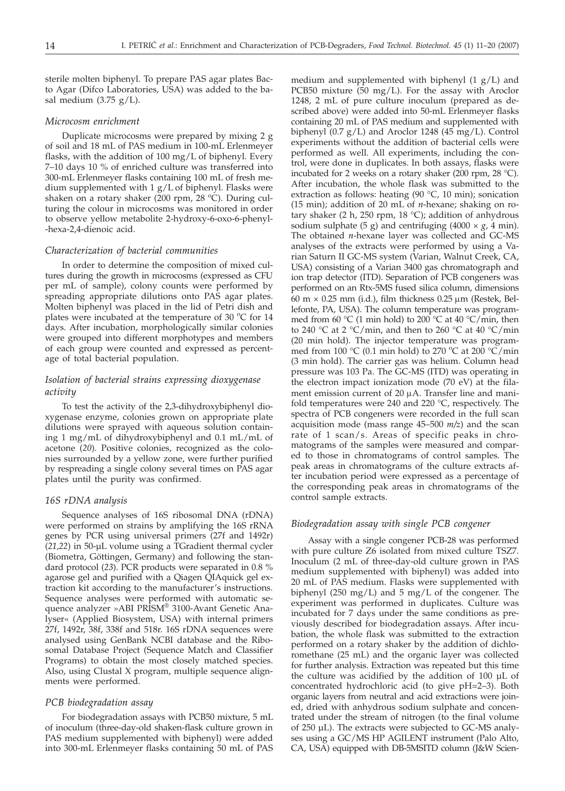sterile molten biphenyl. To prepare PAS agar plates Bacto Agar (Difco Laboratories, USA) was added to the basal medium  $(3.75 \text{ g/L}).$ 

## *Microcosm enrichment*

Duplicate microcosms were prepared by mixing 2 g of soil and 18 mL of PAS medium in 100-mL Erlenmeyer flasks, with the addition of 100 mg/L of biphenyl. Every 7–10 days 10 % of enriched culture was transferred into 300-mL Erlenmeyer flasks containing 100 mL of fresh medium supplemented with 1 g/L of biphenyl. Flasks were shaken on a rotary shaker (200 rpm, 28 °C). During culturing the colour in microcosms was monitored in order to observe yellow metabolite 2-hydroxy-6-oxo-6-phenyl- -hexa-2,4-dienoic acid.

## *Characterization of bacterial communities*

In order to determine the composition of mixed cultures during the growth in microcosms (expressed as CFU per mL of sample), colony counts were performed by spreading appropriate dilutions onto PAS agar plates. Molten biphenyl was placed in the lid of Petri dish and plates were incubated at the temperature of 30  $^{\circ}$ C for 14 days. After incubation, morphologically similar colonies were grouped into different morphotypes and members of each group were counted and expressed as percentage of total bacterial population.

# *Isolation of bacterial strains expressing dioxygenase activity*

To test the activity of the 2,3-dihydroxybiphenyl dioxygenase enzyme, colonies grown on appropriate plate dilutions were sprayed with aqueous solution containing 1 mg/mL of dihydroxybiphenyl and 0.1 mL/mL of acetone (*20*). Positive colonies, recognized as the colonies surrounded by a yellow zone, were further purified by respreading a single colony several times on PAS agar plates until the purity was confirmed.

#### *16S rDNA analysis*

Sequence analyses of 16S ribosomal DNA (rDNA) were performed on strains by amplifying the 16S rRNA genes by PCR using universal primers (27f and 1492r) (*21,22*) in 50-µL volume using a TGradient thermal cycler (Biometra, Göttingen, Germany) and following the standard protocol (*23*). PCR products were separated in 0.8 % agarose gel and purified with a Qiagen QIAquick gel extraction kit according to the manufacturer's instructions. Sequence analyses were performed with automatic sequence analyzer »ABI PRISM® 3100-Avant Genetic Analyser« (Applied Biosystem, USA) with internal primers 27f, 1492r, 38f, 338f and 518r. 16S rDNA sequences were analysed using GenBank NCBI database and the Ribosomal Database Project (Sequence Match and Classifier Programs) to obtain the most closely matched species. Also, using Clustal X program, multiple sequence alignments were performed.

#### *PCB biodegradation assay*

For biodegradation assays with PCB50 mixture, 5 mL of inoculum (three-day-old shaken-flask culture grown in PAS medium supplemented with biphenyl) were added into 300-mL Erlenmeyer flasks containing 50 mL of PAS

medium and supplemented with biphenyl  $(1 g/L)$  and PCB50 mixture (50 mg/L). For the assay with Aroclor 1248, 2 mL of pure culture inoculum (prepared as described above) were added into 50-mL Erlenmeyer flasks containing 20 mL of PAS medium and supplemented with biphenyl (0.7 g/L) and Aroclor 1248 (45 mg/L). Control experiments without the addition of bacterial cells were performed as well. All experiments, including the control, were done in duplicates. In both assays, flasks were incubated for 2 weeks on a rotary shaker (200 rpm, 28 °C). After incubation, the whole flask was submitted to the extraction as follows: heating (90 °C, 10 min); sonication (15 min); addition of 20 mL of *n*-hexane; shaking on rotary shaker (2 h, 250 rpm, 18  $^{\circ}$ C); addition of anhydrous sodium sulphate (5 g) and centrifuging (4000  $\times$  *g*, 4 min). The obtained *n*-hexane layer was collected and GC-MS analyses of the extracts were performed by using a Varian Saturn II GC-MS system (Varian, Walnut Creek, CA, USA) consisting of a Varian 3400 gas chromatograph and ion trap detector (ITD). Separation of PCB congeners was performed on an Rtx-5MS fused silica column, dimensions  $60 \text{ m} \times 0.25 \text{ mm}$  (i.d.), film thickness 0.25  $\mu$ m (Restek, Bellefonte, PA, USA). The column temperature was programmed from 60 °C (1 min hold) to 200 °C at 40 °C/min, then to 240 °C at 2 °C/min, and then to 260 °C at 40 °C/min (20 min hold). The injector temperature was programmed from 100 °C (0.1 min hold) to 270 °C at 200 °C/min (3 min hold). The carrier gas was helium. Column head pressure was 103 Pa. The GC-MS (ITD) was operating in the electron impact ionization mode (70 eV) at the filament emission current of  $20 \mu A$ . Transfer line and manifold temperatures were 240 and 220 °C, respectively. The spectra of PCB congeners were recorded in the full scan acquisition mode (mass range 45–500 *m/z*) and the scan rate of 1 scan/s. Areas of specific peaks in chromatograms of the samples were measured and compared to those in chromatograms of control samples. The peak areas in chromatograms of the culture extracts after incubation period were expressed as a percentage of the corresponding peak areas in chromatograms of the control sample extracts.

#### *Biodegradation assay with single PCB congener*

Assay with a single congener PCB-28 was performed with pure culture Z6 isolated from mixed culture TSZ7. Inoculum (2 mL of three-day-old culture grown in PAS medium supplemented with biphenyl) was added into 20 mL of PAS medium. Flasks were supplemented with biphenyl (250 mg/L) and 5 mg/L of the congener. The experiment was performed in duplicates. Culture was incubated for 7 days under the same conditions as previously described for biodegradation assays. After incubation, the whole flask was submitted to the extraction performed on a rotary shaker by the addition of dichloromethane (25 mL) and the organic layer was collected for further analysis. Extraction was repeated but this time the culture was acidified by the addition of 100 µL of concentrated hydrochloric acid (to give pH=2–3). Both organic layers from neutral and acid extractions were joined, dried with anhydrous sodium sulphate and concentrated under the stream of nitrogen (to the final volume of 250 µL). The extracts were subjected to GC-MS analyses using a GC/MS HP AGILENT instrument (Palo Alto, CA, USA) equipped with DB-5MSITD column (J&W Scien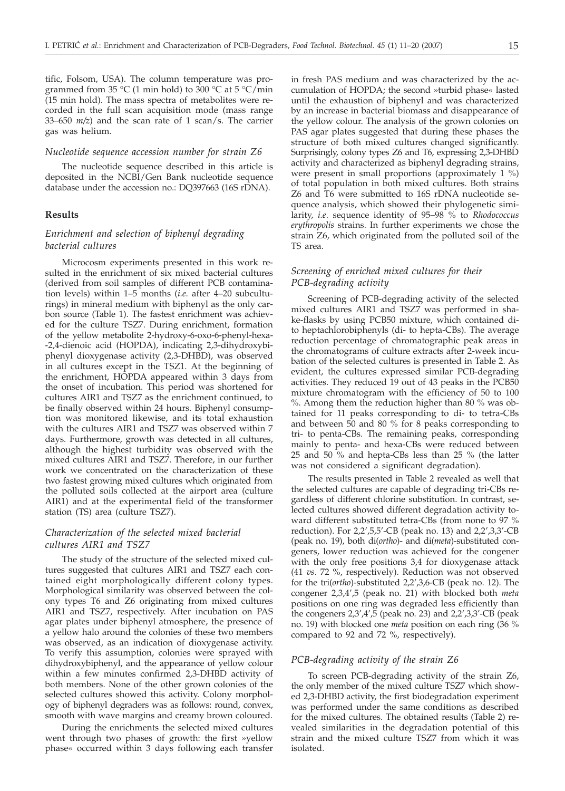tific, Folsom, USA). The column temperature was programmed from 35 °C (1 min hold) to 300 °C at 5 °C/min (15 min hold). The mass spectra of metabolites were recorded in the full scan acquisition mode (mass range 33–650 *m/z*) and the scan rate of 1 scan/s. The carrier gas was helium.

## *Nucleotide sequence accession number for strain Z6*

The nucleotide sequence described in this article is deposited in the NCBI/Gen Bank nucleotide sequence database under the accession no.: DQ397663 (16S rDNA).

#### **Results**

# *Enrichment and selection of biphenyl degrading bacterial cultures*

Microcosm experiments presented in this work resulted in the enrichment of six mixed bacterial cultures (derived from soil samples of different PCB contamination levels) within 1–5 months (*i.e*. after 4–20 subculturings) in mineral medium with biphenyl as the only carbon source (Table 1). The fastest enrichment was achieved for the culture TSZ7. During enrichment, formation of the yellow metabolite 2-hydroxy-6-oxo-6-phenyl-hexa- -2,4-dienoic acid (HOPDA), indicating 2,3-dihydroxybiphenyl dioxygenase activity (2,3-DHBD), was observed in all cultures except in the TSZ1. At the beginning of the enrichment, HOPDA appeared within 3 days from the onset of incubation. This period was shortened for cultures AIR1 and TSZ7 as the enrichment continued, to be finally observed within 24 hours. Biphenyl consumption was monitored likewise, and its total exhaustion with the cultures AIR1 and TSZ7 was observed within 7 days. Furthermore, growth was detected in all cultures, although the highest turbidity was observed with the mixed cultures AIR1 and TSZ7. Therefore, in our further work we concentrated on the characterization of these two fastest growing mixed cultures which originated from the polluted soils collected at the airport area (culture AIR1) and at the experimental field of the transformer station (TS) area (culture TSZ7).

# *Characterization of the selected mixed bacterial cultures AIR1 and TSZ7*

The study of the structure of the selected mixed cultures suggested that cultures AIR1 and TSZ7 each contained eight morphologically different colony types. Morphological similarity was observed between the colony types T6 and Z6 originating from mixed cultures AIR1 and TSZ7, respectively. After incubation on PAS agar plates under biphenyl atmosphere, the presence of a yellow halo around the colonies of these two members was observed, as an indication of dioxygenase activity. To verify this assumption, colonies were sprayed with dihydroxybiphenyl, and the appearance of yellow colour within a few minutes confirmed 2,3-DHBD activity of both members. None of the other grown colonies of the selected cultures showed this activity. Colony morphology of biphenyl degraders was as follows: round, convex, smooth with wave margins and creamy brown coloured.

During the enrichments the selected mixed cultures went through two phases of growth: the first »yellow phase« occurred within 3 days following each transfer in fresh PAS medium and was characterized by the accumulation of HOPDA; the second »turbid phase« lasted until the exhaustion of biphenyl and was characterized by an increase in bacterial biomass and disappearance of the yellow colour. The analysis of the grown colonies on PAS agar plates suggested that during these phases the structure of both mixed cultures changed significantly. Surprisingly, colony types Z6 and T6, expressing 2,3-DHBD activity and characterized as biphenyl degrading strains, were present in small proportions (approximately 1 %) of total population in both mixed cultures. Both strains Z6 and T6 were submitted to 16S rDNA nucleotide sequence analysis, which showed their phylogenetic similarity, *i.e*. sequence identity of 95–98 % to *Rhodococcus erythropolis* strains. In further experiments we chose the strain Z6, which originated from the polluted soil of the TS area.

## *Screening of enriched mixed cultures for their PCB-degrading activity*

Screening of PCB-degrading activity of the selected mixed cultures AIR1 and TSZ7 was performed in shake-flasks by using PCB50 mixture, which contained dito heptachlorobiphenyls (di- to hepta-CBs). The average reduction percentage of chromatographic peak areas in the chromatograms of culture extracts after 2-week incubation of the selected cultures is presented in Table 2. As evident, the cultures expressed similar PCB-degrading activities. They reduced 19 out of 43 peaks in the PCB50 mixture chromatogram with the efficiency of 50 to 100 %. Among them the reduction higher than 80 % was obtained for 11 peaks corresponding to di- to tetra-CBs and between 50 and 80 % for 8 peaks corresponding to tri- to penta-CBs. The remaining peaks, corresponding mainly to penta- and hexa-CBs were reduced between 25 and 50 % and hepta-CBs less than 25 % (the latter was not considered a significant degradation).

The results presented in Table 2 revealed as well that the selected cultures are capable of degrading tri-CBs regardless of different chlorine substitution. In contrast, selected cultures showed different degradation activity toward different substituted tetra-CBs (from none to 97 % reduction). For 2,2',5,5'-CB (peak no. 13) and 2,2',3,3'-CB (peak no. 19), both di(*ortho*)- and di(*meta*)-substituted congeners, lower reduction was achieved for the congener with the only free positions 3,4 for dioxygenase attack (41 *vs*. 72 %, respectively). Reduction was not observed for the tri(*ortho*)-substituted 2,2',3,6-CB (peak no. 12). The congener 2,3,4',5 (peak no. 21) with blocked both *meta* positions on one ring was degraded less efficiently than the congeners  $2,3',4',5$  (peak no. 23) and  $2,2',3,3'$ -CB (peak no. 19) with blocked one *meta* position on each ring (36 % compared to 92 and 72 %, respectively).

#### *PCB-degrading activity of the strain Z6*

To screen PCB-degrading activity of the strain Z6, the only member of the mixed culture TSZ7 which showed 2,3-DHBD activity, the first biodegradation experiment was performed under the same conditions as described for the mixed cultures. The obtained results (Table 2) revealed similarities in the degradation potential of this strain and the mixed culture TSZ7 from which it was isolated.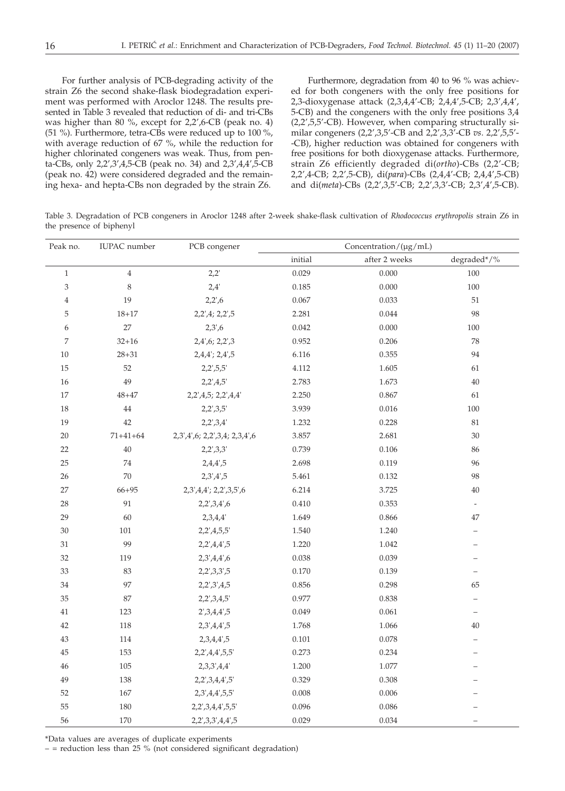For further analysis of PCB-degrading activity of the strain Z6 the second shake-flask biodegradation experiment was performed with Aroclor 1248. The results presented in Table 3 revealed that reduction of di- and tri-CBs was higher than 80 %, except for 2,2',6-CB (peak no. 4) (51 %). Furthermore, tetra-CBs were reduced up to 100 %, with average reduction of 67 %, while the reduction for higher chlorinated congeners was weak. Thus, from penta-CBs, only 2,2',3',4,5-CB (peak no. 34) and 2,3',4,4',5-CB (peak no. 42) were considered degraded and the remaining hexa- and hepta-CBs non degraded by the strain Z6.

Furthermore, degradation from 40 to 96 % was achieved for both congeners with the only free positions for 2,3-dioxygenase attack (2,3,4,4'-CB; 2,4,4',5-CB; 2,3',4,4', 5-CB) and the congeners with the only free positions 3,4 (2,2',5,5'-CB). However, when comparing structurally similar congeners (2,2',3,5'-CB and 2,2',3,3'-CB *vs*. 2,2',5,5'- -CB), higher reduction was obtained for congeners with free positions for both dioxygenase attacks. Furthermore, strain Z6 efficiently degraded di(*ortho*)-CBs (2,2'-CB; 2,2',4-CB; 2,2',5-CB), di(*para*)-CBs (2,4,4'-CB; 2,4,4',5-CB) and di(*meta*)-CBs (2,2',3,5'-CB; 2,2',3,3'-CB; 2,3',4',5-CB).

Table 3. Degradation of PCB congeners in Aroclor 1248 after 2-week shake-flask cultivation of *Rhodococcus erythropolis* strain Z6 in the presence of biphenyl

| Peak no.       | <b>IUPAC</b> number | PCB congener                  | Concentration/(µg/mL) |               |                          |
|----------------|---------------------|-------------------------------|-----------------------|---------------|--------------------------|
|                |                     |                               | initial               | after 2 weeks | degraded*/%              |
| $1\,$          | $\overline{4}$      | 2,2'                          | 0.029                 | 0.000         | 100                      |
| 3              | $\,8\,$             | 2,4'                          | 0.185                 | 0.000         | 100                      |
| $\overline{4}$ | 19                  | 2,2',6                        | 0.067                 | 0.033         | 51                       |
| 5              | $18 + 17$           | 2,2',4; 2,2',5                | 2.281                 | 0.044         | 98                       |
| 6              | 27                  | 2,3,6                         | 0.042                 | 0.000         | 100                      |
| $\overline{7}$ | $32 + 16$           | 2,4',6; 2,2',3                | 0.952                 | 0.206         | 78                       |
| 10             | $28 + 31$           | $2,4,4$ ; $2,4',5$            | 6.116                 | 0.355         | 94                       |
| 15             | 52                  | 2,2',5,5'                     | 4.112                 | 1.605         | 61                       |
| 16             | 49                  | 2,2',4,5'                     | 2.783                 | 1.673         | 40                       |
| 17             | $48 + 47$           | 2,2',4,5; 2,2',4,4'           | 2.250                 | 0.867         | 61                       |
| 18             | 44                  | 2,2',3,5'                     | 3.939                 | 0.016         | 100                      |
| 19             | $42\,$              | 2,2',3,4'                     | 1.232                 | 0.228         | 81                       |
| $20\,$         | $71 + 41 + 64$      | 2,3',4',6; 2,2',3,4; 2,3,4',6 | 3.857                 | 2.681         | $30\,$                   |
| 22             | $40\,$              | 2,2',3,3'                     | 0.739                 | 0.106         | 86                       |
| 25             | 74                  | 2,4,4',5                      | 2.698                 | 0.119         | 96                       |
| 26             | $70\,$              | 2,3',4',5                     | 5.461                 | 0.132         | 98                       |
| 27             | $66 + 95$           | 2,3',4,4'; 2,2',3,5',6        | 6.214                 | 3.725         | 40                       |
| 28             | 91                  | 2,2',3,4',6                   | 0.410                 | 0.353         | $\overline{\phantom{a}}$ |
| 29             | 60                  | 2,3,4,4'                      | 1.649                 | 0.866         | 47                       |
| 30             | 101                 | 2,2',4,5,5'                   | 1.540                 | 1.240         | $\overline{\phantom{0}}$ |
| $31\,$         | 99                  | 2,2',4,4',5                   | 1.220                 | 1.042         | $\overline{\phantom{0}}$ |
| $32\,$         | 119                 | 2,3',4,4',6                   | 0.038                 | 0.039         |                          |
| 33             | 83                  | 2,2',3,3',5                   | 0.170                 | 0.139         | $\overline{\phantom{0}}$ |
| 34             | 97                  | 2,2',3',4,5                   | 0.856                 | 0.298         | 65                       |
| $35\,$         | 87                  | 2,2',3,4,5'                   | 0.977                 | 0.838         | $\equiv$                 |
| 41             | 123                 | 2',3,4,4',5                   | 0.049                 | 0.061         | $\qquad \qquad -$        |
| 42             | 118                 | 2,3',4,4',5                   | 1.768                 | 1.066         | 40                       |
| 43             | 114                 | 2,3,4,4',5                    | 0.101                 | 0.078         | $\overline{\phantom{0}}$ |
| 45             | 153                 | 2,2',4,4',5,5'                | 0.273                 | 0.234         | $\overline{\phantom{0}}$ |
| 46             | 105                 | 2,3,3',4,4'                   | 1.200                 | 1.077         | $\overline{\phantom{0}}$ |
| 49             | 138                 | 2,2',3,4,4',5'                | 0.329                 | 0.308         | $\overline{\phantom{0}}$ |
| 52             | 167                 | 2,3',4,4',5,5'                | 0.008                 | 0.006         | $\overline{\phantom{0}}$ |
| 55             | 180                 | 2,2',3,4,4',5,5'              | 0.096                 | 0.086         |                          |
| 56             | 170                 | 2,2',3,3',4,4',5              | 0.029                 | 0.034         | $\overline{\phantom{0}}$ |

 $-$  = reduction less than 25 % (not considered significant degradation)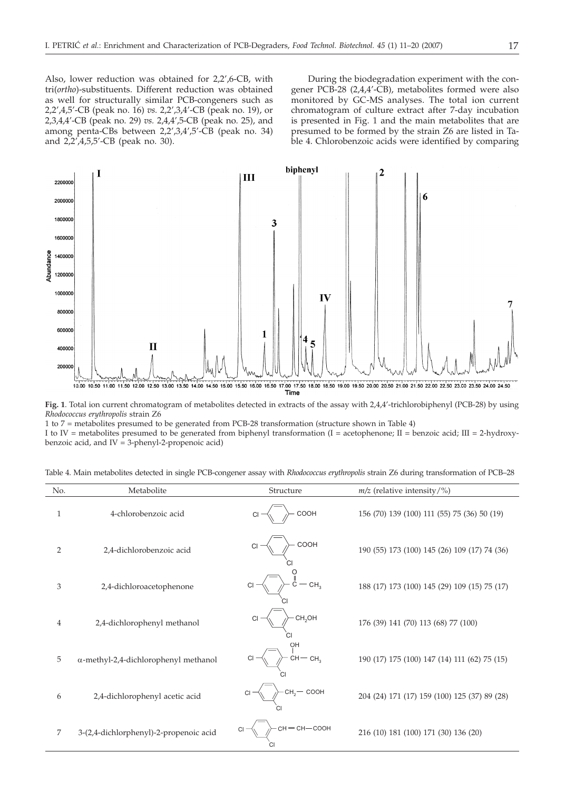Also, lower reduction was obtained for 2,2',6-CB, with tri(*ortho*)-substituents. Different reduction was obtained as well for structurally similar PCB-congeners such as 2,2',4,5'-CB (peak no. 16) *vs.* 2,2',3,4'-CB (peak no. 19), or 2,3,4,4'-CB (peak no. 29) *vs.* 2,4,4',5-CB (peak no. 25), and among penta-CBs between 2,2',3,4',5'-CB (peak no. 34) and 2,2',4,5,5'-CB (peak no. 30).

During the biodegradation experiment with the congener PCB-28 (2,4,4'-CB), metabolites formed were also monitored by GC-MS analyses. The total ion current chromatogram of culture extract after 7-day incubation is presented in Fig. 1 and the main metabolites that are presumed to be formed by the strain Z6 are listed in Table 4. Chlorobenzoic acids were identified by comparing





1 to 7 = metabolites presumed to be generated from PCB-28 transformation (structure shown in Table 4) I to IV = metabolites presumed to be generated from biphenyl transformation (I = acetophenone; II = benzoic acid; III = 2-hydroxybenzoic acid, and  $IV = 3$ -phenyl-2-propenoic acid)

| No.          | Metabolite                                   | Structure                         | $m/z$ (relative intensity/%)                 |
|--------------|----------------------------------------------|-----------------------------------|----------------------------------------------|
| $\mathbf{1}$ | 4-chlorobenzoic acid                         | COOH<br>$CI =$                    | 156 (70) 139 (100) 111 (55) 75 (36) 50 (19)  |
| 2            | 2,4-dichlorobenzoic acid                     | COOH<br>CI                        | 190 (55) 173 (100) 145 (26) 109 (17) 74 (36) |
| 3            | 2,4-dichloroacetophenone                     | $-cH_3$                           | 188 (17) 173 (100) 145 (29) 109 (15) 75 (17) |
| 4            | 2,4-dichlorophenyl methanol                  | CH <sub>2</sub> OH<br>$CI -$      | 176 (39) 141 (70) 113 (68) 77 (100)          |
| 5            | $\alpha$ -methyl-2,4-dichlorophenyl methanol | OH<br>$CH - CH3$                  | 190 (17) 175 (100) 147 (14) 111 (62) 75 (15) |
| 6            | 2,4-dichlorophenyl acetic acid               | $cH_2$ $\sim$ $coOH$<br><b>CI</b> | 204 (24) 171 (17) 159 (100) 125 (37) 89 (28) |
| 7            | 3-(2,4-dichlorphenyl)-2-propenoic acid       | $CH = CH - COOH$<br>$CI =$        | 216 (10) 181 (100) 171 (30) 136 (20)         |

Table 4. Main metabolites detected in single PCB-congener assay with *Rhodococcus erythropolis* strain Z6 during transformation of PCB–28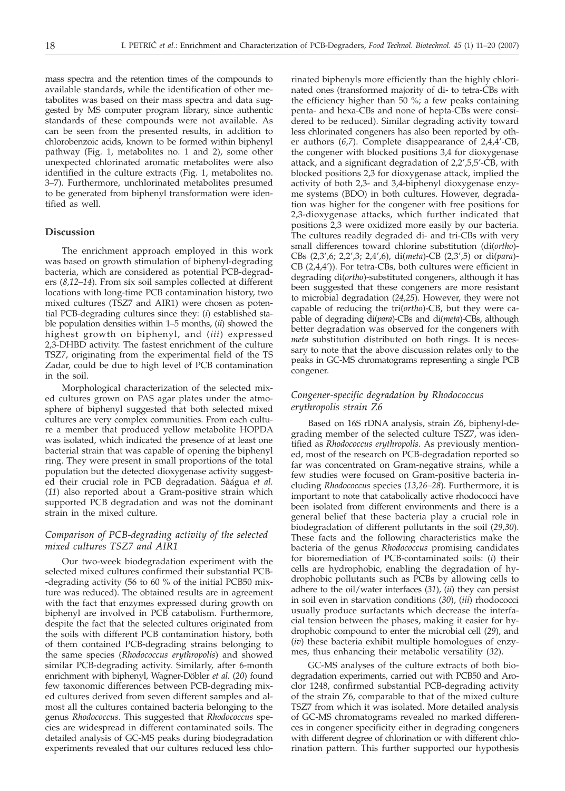mass spectra and the retention times of the compounds to available standards, while the identification of other metabolites was based on their mass spectra and data suggested by MS computer program library, since authentic standards of these compounds were not available. As can be seen from the presented results, in addition to chlorobenzoic acids, known to be formed within biphenyl pathway (Fig. 1, metabolites no. 1 and 2), some other unexpected chlorinated aromatic metabolites were also identified in the culture extracts (Fig. 1, metabolites no. 3–7). Furthermore, unchlorinated metabolites presumed to be generated from biphenyl transformation were identified as well.

## **Discussion**

The enrichment approach employed in this work was based on growth stimulation of biphenyl-degrading bacteria, which are considered as potential PCB-degraders (*8,12–14*). From six soil samples collected at different locations with long-time PCB contamination history, two mixed cultures (TSZ7 and AIR1) were chosen as potential PCB-degrading cultures since they: (*i*) established stable population densities within 1–5 months, (*ii*) showed the highest growth on biphenyl, and (*iii*) expressed 2,3-DHBD activity. The fastest enrichment of the culture TSZ7, originating from the experimental field of the TS Zadar, could be due to high level of PCB contamination in the soil.

Morphological characterization of the selected mixed cultures grown on PAS agar plates under the atmosphere of biphenyl suggested that both selected mixed cultures are very complex communities. From each culture a member that produced yellow metabolite HOPDA was isolated, which indicated the presence of at least one bacterial strain that was capable of opening the biphenyl ring. They were present in small proportions of the total population but the detected dioxygenase activity suggested their crucial role in PCB degradation. Sàágua *et al.* (*11*) also reported about a Gram-positive strain which supported PCB degradation and was not the dominant strain in the mixed culture.

# *Comparison of PCB-degrading activity of the selected mixed cultures TSZ7 and AIR1*

Our two-week biodegradation experiment with the selected mixed cultures confirmed their substantial PCB- -degrading activity (56 to 60 % of the initial PCB50 mixture was reduced). The obtained results are in agreement with the fact that enzymes expressed during growth on biphenyl are involved in PCB catabolism. Furthermore, despite the fact that the selected cultures originated from the soils with different PCB contamination history, both of them contained PCB-degrading strains belonging to the same species (*Rhodococcus erythropolis*) and showed similar PCB-degrading activity. Similarly, after 6-month enrichment with biphenyl, Wagner-Döbler *et al.* (*20*) found few taxonomic differences between PCB-degrading mixed cultures derived from seven different samples and almost all the cultures contained bacteria belonging to the genus *Rhodococcus*. This suggested that *Rhodococcus* species are widespread in different contaminated soils. The detailed analysis of GC-MS peaks during biodegradation experiments revealed that our cultures reduced less chlo-

rinated biphenyls more efficiently than the highly chlorinated ones (transformed majority of di- to tetra-CBs with the efficiency higher than 50 %; a few peaks containing penta- and hexa-CBs and none of hepta-CBs were considered to be reduced). Similar degrading activity toward less chlorinated congeners has also been reported by other authors (*6,7*). Complete disappearance of 2,4,4'-CB, the congener with blocked positions 3,4 for dioxygenase attack, and a significant degradation of 2,2',5,5'-CB, with blocked positions 2,3 for dioxygenase attack, implied the activity of both 2,3- and 3,4-biphenyl dioxygenase enzyme systems (BDO) in both cultures. However, degradation was higher for the congener with free positions for 2,3-dioxygenase attacks, which further indicated that positions 2,3 were oxidized more easily by our bacteria. The cultures readily degraded di- and tri-CBs with very small differences toward chlorine substitution (di(*ortho*)- CBs (2,3',6; 2,2',3; 2,4',6), di(*meta*)-CB (2,3',5) or di(*para*)- CB (2,4,4')). For tetra-CBs, both cultures were efficient in degrading di(*ortho*)*-*substituted congeners, although it has been suggested that these congeners are more resistant to microbial degradation (*24,25*). However, they were not capable of reducing the tri(*ortho*)-CB, but they were capable of degrading di(*para*)-CBs and di(*meta*)-CBs, although better degradation was observed for the congeners with *meta* substitution distributed on both rings. It is necessary to note that the above discussion relates only to the peaks in GC-MS chromatograms representing a single PCB congener.

# *Congener-specific degradation by Rhodococcus erythropolis strain Z6*

Based on 16S rDNA analysis, strain Z6, biphenyl-degrading member of the selected culture TSZ7, was identified as *Rhodococcus erythropolis*. As previously mentioned, most of the research on PCB-degradation reported so far was concentrated on Gram-negative strains, while a few studies were focused on Gram-positive bacteria including *Rhodococcus* species (*13,26–28*). Furthermore, it is important to note that catabolically active rhodococci have been isolated from different environments and there is a general belief that these bacteria play a crucial role in biodegradation of different pollutants in the soil (*29,30*). These facts and the following characteristics make the bacteria of the genus *Rhodococcus* promising candidates for bioremediation of PCB-contaminated soils: (*i*) their cells are hydrophobic, enabling the degradation of hydrophobic pollutants such as PCBs by allowing cells to adhere to the oil/water interfaces (*31*), (*ii*) they can persist in soil even in starvation conditions (*30*), (*iii*) rhodococci usually produce surfactants which decrease the interfacial tension between the phases, making it easier for hydrophobic compound to enter the microbial cell (*29*), and (*iv*) these bacteria exhibit multiple homologues of enzymes, thus enhancing their metabolic versatility (*32*).

GC-MS analyses of the culture extracts of both biodegradation experiments, carried out with PCB50 and Aroclor 1248, confirmed substantial PCB-degrading activity of the strain Z6, comparable to that of the mixed culture TSZ7 from which it was isolated. More detailed analysis of GC-MS chromatograms revealed no marked differences in congener specificity either in degrading congeners with different degree of chlorination or with different chlorination pattern. This further supported our hypothesis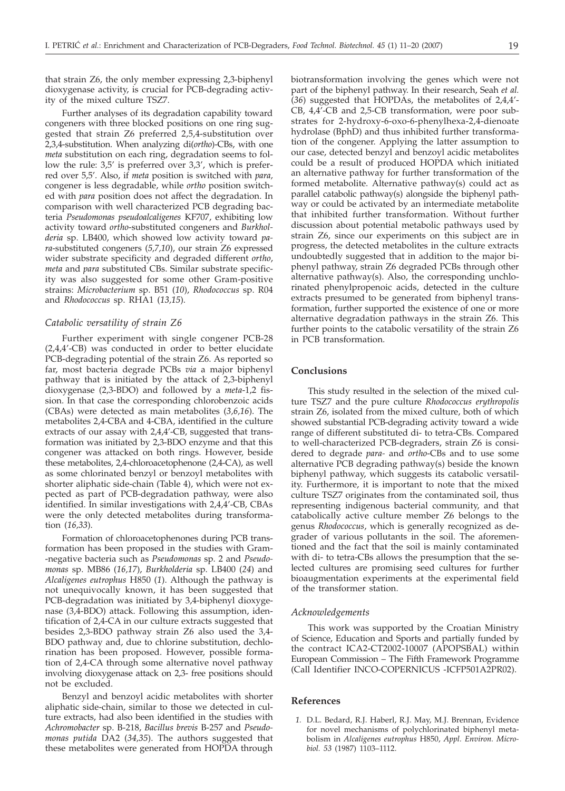that strain Z6, the only member expressing 2,3-biphenyl dioxygenase activity, is crucial for PCB-degrading activity of the mixed culture TSZ7.

Further analyses of its degradation capability toward congeners with three blocked positions on one ring suggested that strain Z6 preferred 2,5,4-substitution over 2,3,4-substitution. When analyzing di(*ortho*)-CBs, with one *meta* substitution on each ring, degradation seems to follow the rule: 3,5' is preferred over 3,3', which is preferred over 5,5'. Also, if *meta* position is switched with *para,* congener is less degradable, while *ortho* position switched with *para* position does not affect the degradation. In comparison with well characterized PCB degrading bacteria *Pseudomonas pseudoalcaligenes* KF707, exhibiting low activity toward *ortho*-substituted congeners and *Burkholderia* sp. LB400, which showed low activity toward *para*-substituted congeners (*5,7,10*), our strain Z6 expressed wider substrate specificity and degraded different *ortho*, *meta* and *para* substituted CBs. Similar substrate specificity was also suggested for some other Gram-positive strains: *Microbacterium* sp. B51 (*10*), *Rhodococcus* sp. R04 and *Rhodococcus* sp. RHA1 (*13,15*).

#### *Catabolic versatility of strain Z6*

Further experiment with single congener PCB-28 (2,4,4'-CB) was conducted in order to better elucidate PCB-degrading potential of the strain Z6. As reported so far, most bacteria degrade PCBs *via* a major biphenyl pathway that is initiated by the attack of 2,3-biphenyl dioxygenase (2,3-BDO) and followed by a *meta*-1,2 fission. In that case the corresponding chlorobenzoic acids (CBAs) were detected as main metabolites (*3,6,16*). The metabolites 2,4-CBA and 4-CBA, identified in the culture extracts of our assay with 2,4,4'-CB, suggested that transformation was initiated by 2,3-BDO enzyme and that this congener was attacked on both rings. However, beside these metabolites, 2,4-chloroacetophenone (2,4-CA), as well as some chlorinated benzyl or benzoyl metabolites with shorter aliphatic side-chain (Table 4), which were not expected as part of PCB-degradation pathway, were also identified. In similar investigations with 2,4,4'-CB, CBAs were the only detected metabolites during transformation (*16,33*).

Formation of chloroacetophenones during PCB transformation has been proposed in the studies with Gram- -negative bacteria such as *Pseudomonas* sp. 2 and *Pseudomonas* sp. MB86 (*16,17*), *Burkholderia* sp. LB400 (*24*) and *Alcaligenes eutrophus* H850 (*1*). Although the pathway is not unequivocally known, it has been suggested that PCB-degradation was initiated by 3,4-biphenyl dioxygenase (3,4-BDO) attack. Following this assumption, identification of 2,4-CA in our culture extracts suggested that besides 2,3-BDO pathway strain Z6 also used the 3,4- BDO pathway and, due to chlorine substitution, dechlorination has been proposed. However, possible formation of 2,4-CA through some alternative novel pathway involving dioxygenase attack on 2,3- free positions should not be excluded.

Benzyl and benzoyl acidic metabolites with shorter aliphatic side-chain, similar to those we detected in culture extracts, had also been identified in the studies with *Achromobacter* sp. B-218, *Bacillus brevis* B-257 and *Pseudomonas putida* DA2 (*34,35*). The authors suggested that these metabolites were generated from HOPDA through

biotransformation involving the genes which were not part of the biphenyl pathway. In their research, Seah *et al.* (*36*) suggested that HOPDAs, the metabolites of 2,4,4'- CB, 4,4'-CB and 2,5-CB transformation, were poor substrates for 2-hydroxy-6-oxo-6-phenylhexa-2,4-dienoate hydrolase (BphD) and thus inhibited further transformation of the congener. Applying the latter assumption to our case, detected benzyl and benzoyl acidic metabolites could be a result of produced HOPDA which initiated an alternative pathway for further transformation of the formed metabolite. Alternative pathway(s) could act as parallel catabolic pathway(s) alongside the biphenyl pathway or could be activated by an intermediate metabolite that inhibited further transformation. Without further discussion about potential metabolic pathways used by strain Z6, since our experiments on this subject are in progress, the detected metabolites in the culture extracts undoubtedly suggested that in addition to the major biphenyl pathway, strain Z6 degraded PCBs through other alternative pathway(s). Also, the corresponding unchlorinated phenylpropenoic acids, detected in the culture extracts presumed to be generated from biphenyl transformation, further supported the existence of one or more alternative degradation pathways in the strain Z6. This further points to the catabolic versatility of the strain Z6 in PCB transformation.

## **Conclusions**

This study resulted in the selection of the mixed culture TSZ7 and the pure culture *Rhodococcus erythropolis* strain Z6, isolated from the mixed culture, both of which showed substantial PCB-degrading activity toward a wide range of different substituted di- to tetra-CBs. Compared to well-characterized PCB-degraders, strain Z6 is considered to degrade *para-* and *ortho*-CBs and to use some alternative PCB degrading pathway(s) beside the known biphenyl pathway, which suggests its catabolic versatility. Furthermore, it is important to note that the mixed culture TSZ7 originates from the contaminated soil, thus representing indigenous bacterial community, and that catabolically active culture member Z6 belongs to the genus *Rhodococcus*, which is generally recognized as degrader of various pollutants in the soil. The aforementioned and the fact that the soil is mainly contaminated with di- to tetra-CBs allows the presumption that the selected cultures are promising seed cultures for further bioaugmentation experiments at the experimental field of the transformer station.

## *Acknowledgements*

This work was supported by the Croatian Ministry of Science, Education and Sports and partially funded by the contract ICA2-CT2002-10007 (APOPSBAL) within European Commission – The Fifth Framework Programme (Call Identifier INCO-COPERNICUS -ICFP501A2PR02).

### **References**

*1.* D.L. Bedard, R.J. Haberl, R.J. May, M.J. Brennan, Evidence for novel mechanisms of polychlorinated biphenyl metabolism in *Alcaligenes eutrophus* H850, *Appl. Environ. Microbiol. 53* (1987) 1103–1112.